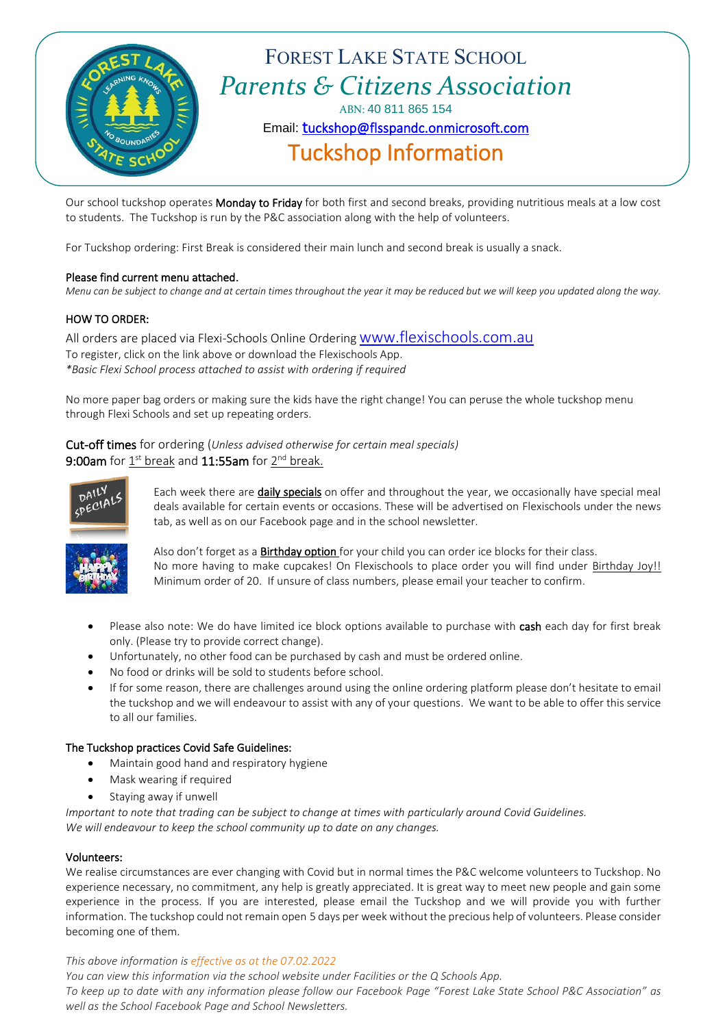

Our school tuckshop operates Monday to Friday for both first and second breaks, providing nutritious meals at a low cost to students. The Tuckshop is run by the P&C association along with the help of volunteers.

For Tuckshop ordering: First Break is considered their main lunch and second break is usually a snack.

#### Please find current menu attached.

*Menu can be subject to change and at certain times throughout the year it may be reduced but we will keep you updated along the way.*

#### HOW TO ORDER:

All orders are placed via Flexi-Schools Online Ordering [www.flexischools.com.au](http://www.flexischools.com.au/) To register, click on the link above or download the Flexischools App. *\*Basic Flexi School process attached to assist with ordering if required*

No more paper bag orders or making sure the kids have the right change! You can peruse the whole tuckshop menu through Flexi Schools and set up repeating orders.

#### Cut-off times for ordering (*Unless advised otherwise for certain meal specials)* **9:00am** for  $\mathbf{\underline{1}^{\text{st}}}$  break and  $\mathbf{11:}$ 55am for  $\mathbf{\underline{2}^{\text{nd}}}$  break.



Each week there are daily specials on offer and throughout the year, we occasionally have special meal deals available for certain events or occasions. These will be advertised on Flexischools under the news tab, as well as on our Facebook page and in the school newsletter.



Also don't forget as a **Birthday option** for your child you can order ice blocks for their class. No more having to make cupcakes! On Flexischools to place order you will find under Birthday Joy!! Minimum order of 20. If unsure of class numbers, please email your teacher to confirm.

- Please also note: We do have limited ice block options available to purchase with cash each day for first break only. (Please try to provide correct change).
- Unfortunately, no other food can be purchased by cash and must be ordered online.
- No food or drinks will be sold to students before school.
- If for some reason, there are challenges around using the online ordering platform please don't hesitate to email the tuckshop and we will endeavour to assist with any of your questions. We want to be able to offer this service to all our families.

#### The Tuckshop practices Covid Safe Guidelines:

- Maintain good hand and respiratory hygiene
- Mask wearing if required
- Staying away if unwell

*Important to note that trading can be subject to change at times with particularly around Covid Guidelines. We will endeavour to keep the school community up to date on any changes.*

#### Volunteers:

We realise circumstances are ever changing with Covid but in normal times the P&C welcome volunteers to Tuckshop. No experience necessary, no commitment, any help is greatly appreciated. It is great way to meet new people and gain some experience in the process. If you are interested, please email the Tuckshop and we will provide you with further information. The tuckshop could not remain open 5 days per week without the precious help of volunteers. Please consider becoming one of them.

*This above information is effective as at the 07.02.2022*

*You can view this information via the school website under Facilities or the Q Schools App.*

*To keep up to date with any information please follow our Facebook Page "Forest Lake State School P&C Association" as well as the School Facebook Page and School Newsletters.*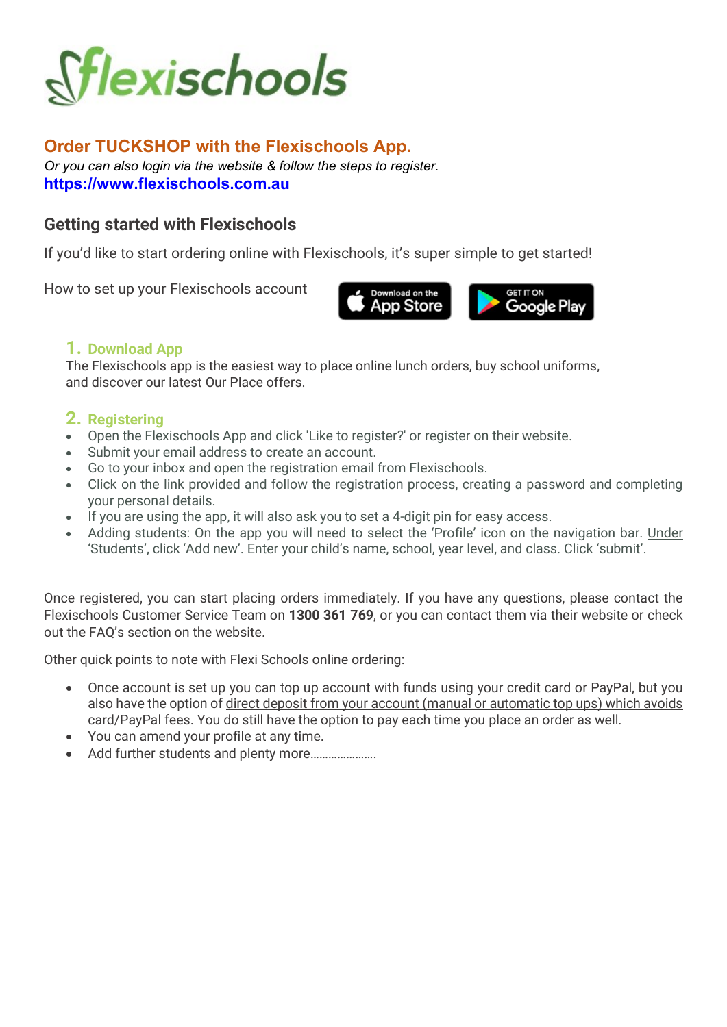

# Order TUCKSHOP with the Flexischools App.

Or you can also login via the website & follow the steps to register. https://www.flexischools.com.au

# Getting started with Flexischools

If you'd like to start ordering online with Flexischools, it's super simple to get started!

How to set up your Flexischools account



## 1. Download App

The Flexischools app is the easiest way to place online lunch orders, buy school uniforms, and discover our latest Our Place offers.

## 2. Registering

- Open the Flexischools App and click 'Like to register?' or register on their website.
- Submit your email address to create an account.
- Go to your inbox and open the registration email from Flexischools.
- Click on the link provided and follow the registration process, creating a password and completing your personal details.
- If you are using the app, it will also ask you to set a 4-digit pin for easy access.
- Adding students: On the app you will need to select the 'Profile' icon on the navigation bar. Under 'Students', click 'Add new'. Enter your child's name, school, year level, and class. Click 'submit'.

Once registered, you can start placing orders immediately. If you have any questions, please contact the Flexischools Customer Service Team on 1300 361 769, or you can contact them via their website or check out the FAQ's section on the website.

Other quick points to note with Flexi Schools online ordering:

- Once account is set up you can top up account with funds using your credit card or PayPal, but you also have the option of direct deposit from your account (manual or automatic top ups) which avoids card/PayPal fees. You do still have the option to pay each time you place an order as well.
- You can amend your profile at any time.
- Add further students and plenty more......................